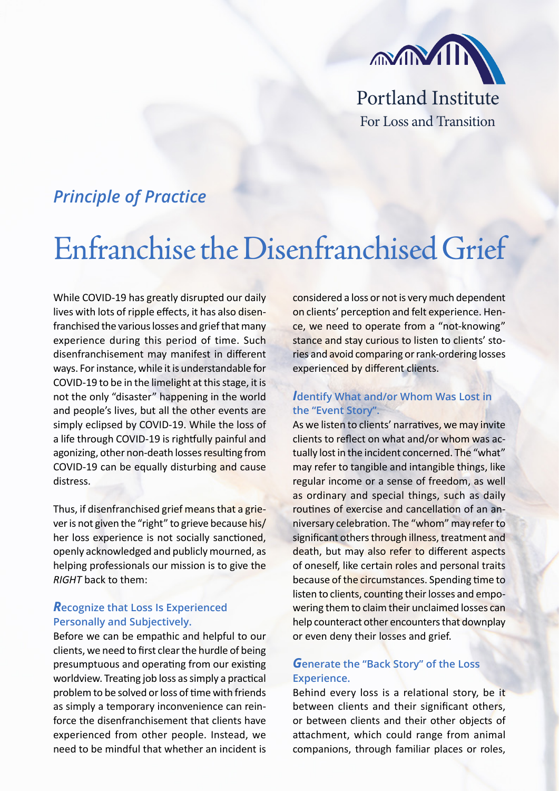

## *Principle of Practice*

# Enfranchise the Disenfranchised Grief

While COVID-19 has greatly disrupted our daily lives with lots of ripple effects, it has also disenfranchised the various losses and grief that many experience during this period of time. Such disenfranchisement may manifest in different ways. For instance, while it is understandable for COVID-19 to be in the limelight at this stage, it is not the only "disaster" happening in the world and people's lives, but all the other events are simply eclipsed by COVID-19. While the loss of a life through COVID-19 is rightfully painful and agonizing, other non-death losses resulting from COVID-19 can be equally disturbing and cause distress.

Thus, if disenfranchised grief means that a griever is not given the "right" to grieve because his/ her loss experience is not socially sanctioned, openly acknowledged and publicly mourned, as helping professionals our mission is to give the *RIGHT* back to them:

#### *R***ecognize that Loss Is Experienced Personally and Subjectively.**

Before we can be empathic and helpful to our clients, we need to first clear the hurdle of being presumptuous and operating from our existing worldview. Treating job loss as simply a practical problem to be solved or loss of time with friends as simply a temporary inconvenience can reinforce the disenfranchisement that clients have experienced from other people. Instead, we need to be mindful that whether an incident is considered a loss or not is very much dependent on clients' perception and felt experience. Hence, we need to operate from a "not-knowing" stance and stay curious to listen to clients' stories and avoid comparing or rank-ordering losses experienced by different clients.

#### *I***dentify What and/or Whom Was Lost in the "Event Story".**

As we listen to clients' narratives, we may invite clients to reflect on what and/or whom was actually lost in the incident concerned. The "what" may refer to tangible and intangible things, like regular income or a sense of freedom, as well as ordinary and special things, such as daily routines of exercise and cancellation of an anniversary celebration. The "whom" may refer to significant others through illness, treatment and death, but may also refer to different aspects of oneself, like certain roles and personal traits because of the circumstances. Spending time to listen to clients, counting their losses and empowering them to claim their unclaimed losses can help counteract other encounters that downplay or even deny their losses and grief.

### *G***enerate the "Back Story" of the Loss Experience.**

Behind every loss is a relational story, be it between clients and their significant others, or between clients and their other objects of attachment, which could range from animal companions, through familiar places or roles,